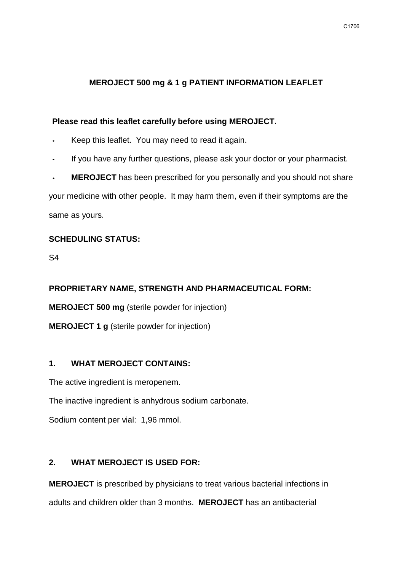## **MEROJECT 500 mg & 1 g PATIENT INFORMATION LEAFLET**

### **Please read this leaflet carefully before using MEROJECT.**

- Keep this leaflet. You may need to read it again.
- If you have any further questions, please ask your doctor or your pharmacist.
- **MEROJECT** has been prescribed for you personally and you should not share

your medicine with other people. It may harm them, even if their symptoms are the same as yours.

## **SCHEDULING STATUS:**

S4

# **PROPRIETARY NAME, STRENGTH AND PHARMACEUTICAL FORM:**

**MEROJECT 500 mg** (sterile powder for injection)

**MEROJECT 1 g** (sterile powder for injection)

### **1. WHAT MEROJECT CONTAINS:**

The active ingredient is meropenem.

The inactive ingredient is anhydrous sodium carbonate.

Sodium content per vial: 1,96 mmol.

## **2. WHAT MEROJECT IS USED FOR:**

**MEROJECT** is prescribed by physicians to treat various bacterial infections in adults and children older than 3 months. **MEROJECT** has an antibacterial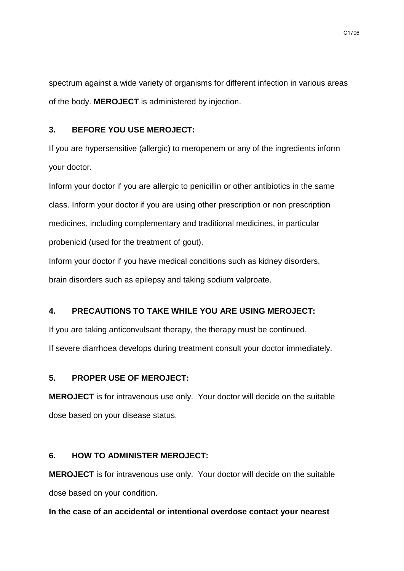spectrum against a wide variety of organisms for different infection in various areas of the body. **MEROJECT** is administered by injection.

### **3. BEFORE YOU USE MEROJECT:**

If you are hypersensitive (allergic) to meropenem or any of the ingredients inform your doctor.

Inform your doctor if you are allergic to penicillin or other antibiotics in the same class. Inform your doctor if you are using other prescription or non prescription medicines, including complementary and traditional medicines, in particular probenicid (used for the treatment of gout).

Inform your doctor if you have medical conditions such as kidney disorders, brain disorders such as epilepsy and taking sodium valproate.

#### **4. PRECAUTIONS TO TAKE WHILE YOU ARE USING MEROJECT:**

If you are taking anticonvulsant therapy, the therapy must be continued.

If severe diarrhoea develops during treatment consult your doctor immediately.

### **5. PROPER USE OF MEROJECT:**

**MEROJECT** is for intravenous use only. Your doctor will decide on the suitable dose based on your disease status.

#### **6. HOW TO ADMINISTER MEROJECT:**

**MEROJECT** is for intravenous use only. Your doctor will decide on the suitable dose based on your condition.

**In the case of an accidental or intentional overdose contact your nearest**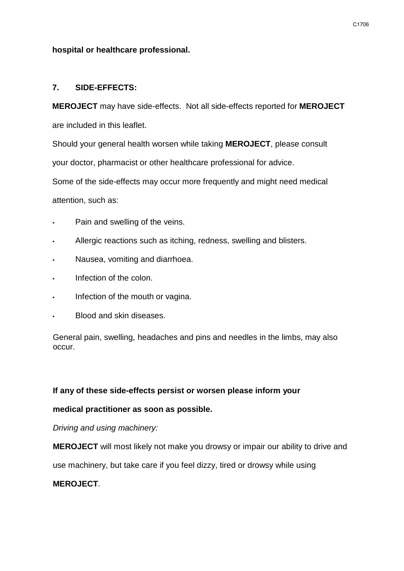**hospital or healthcare professional.**

### **7. SIDE-EFFECTS:**

**MEROJECT** may have side-effects. Not all side-effects reported for **MEROJECT** are included in this leaflet.

Should your general health worsen while taking **MEROJECT**, please consult

your doctor, pharmacist or other healthcare professional for advice.

Some of the side-effects may occur more frequently and might need medical attention, such as:

- Pain and swelling of the veins.
- Allergic reactions such as itching, redness, swelling and blisters.
- Nausea, vomiting and diarrhoea.
- Infection of the colon.
- Infection of the mouth or vagina.
- Blood and skin diseases.

General pain, swelling, headaches and pins and needles in the limbs, may also occur.

### **If any of these side-effects persist or worsen please inform your**

### **medical practitioner as soon as possible.**

*Driving and using machinery:*

**MEROJECT** will most likely not make you drowsy or impair our ability to drive and

use machinery, but take care if you feel dizzy, tired or drowsy while using

### **MEROJECT**.